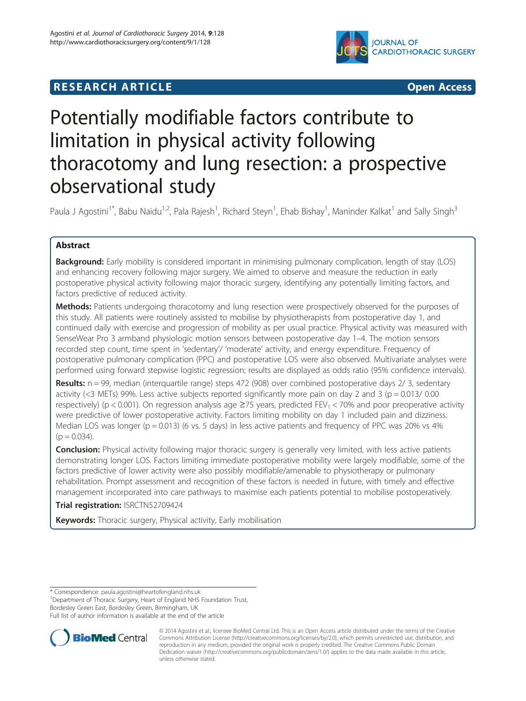# **IOURNAL OF CARDIOTHORACIC SURGERY**

## **RESEARCH ARTICLE Example 2014 12:30 THE Open Access**



# Potentially modifiable factors contribute to limitation in physical activity following thoracotomy and lung resection: a prospective observational study

Paula J Agostini<sup>1\*</sup>, Babu Naidu<sup>1,2</sup>, Pala Rajesh<sup>1</sup>, Richard Steyn<sup>1</sup>, Ehab Bishay<sup>1</sup>, Maninder Kalkat<sup>1</sup> and Sally Singh<sup>3</sup>

## Abstract

**Background:** Early mobility is considered important in minimising pulmonary complication, length of stay (LOS) and enhancing recovery following major surgery. We aimed to observe and measure the reduction in early postoperative physical activity following major thoracic surgery, identifying any potentially limiting factors, and factors predictive of reduced activity.

Methods: Patients undergoing thoracotomy and lung resection were prospectively observed for the purposes of this study. All patients were routinely assisted to mobilise by physiotherapists from postoperative day 1, and continued daily with exercise and progression of mobility as per usual practice. Physical activity was measured with SenseWear Pro 3 armband physiologic motion sensors between postoperative day 1–4. The motion sensors recorded step count, time spent in 'sedentary'/ 'moderate' activity, and energy expenditure. Frequency of postoperative pulmonary complication (PPC) and postoperative LOS were also observed. Multivariate analyses were performed using forward stepwise logistic regression; results are displayed as odds ratio (95% confidence intervals).

Results:  $n = 99$ , median (interquartile range) steps 472 (908) over combined postoperative days 2/3, sedentary activity (<3 METs) 99%. Less active subjects reported significantly more pain on day 2 and 3 ( $p = 0.013/0.00$ ) respectively) (p < 0.001). On regression analysis age  $\geq$ 75 years, predicted FEV<sub>1</sub> < 70% and poor preoperative activity were predictive of lower postoperative activity. Factors limiting mobility on day 1 included pain and dizziness. Median LOS was longer ( $p = 0.013$ ) (6 vs. 5 days) in less active patients and frequency of PPC was 20% vs 4%  $(p = 0.034)$ .

**Conclusion:** Physical activity following major thoracic surgery is generally very limited, with less active patients demonstrating longer LOS. Factors limiting immediate postoperative mobility were largely modifiable, some of the factors predictive of lower activity were also possibly modifiable/amenable to physiotherapy or pulmonary rehabilitation. Prompt assessment and recognition of these factors is needed in future, with timely and effective management incorporated into care pathways to maximise each patients potential to mobilise postoperatively.

### Trial registration: [ISRCTN52709424](http://www.controlled-trials.com/ISRCTN52709424)

Keywords: Thoracic surgery, Physical activity, Early mobilisation

Full list of author information is available at the end of the article



<sup>© 2014</sup> Agostini et al.; licensee BioMed Central Ltd. This is an Open Access article distributed under the terms of the Creative Commons Attribution License [\(http://creativecommons.org/licenses/by/2.0\)](http://creativecommons.org/licenses/by/2.0), which permits unrestricted use, distribution, and reproduction in any medium, provided the original work is properly credited. The Creative Commons Public Domain Dedication waiver [\(http://creativecommons.org/publicdomain/zero/1.0/](http://creativecommons.org/publicdomain/zero/1.0/)) applies to the data made available in this article, unless otherwise stated.

<sup>\*</sup> Correspondence: [paula.agostini@heartofengland.nhs.uk](mailto:paula.agostini@heartofengland.nhs.uk) <sup>1</sup>

<sup>&</sup>lt;sup>1</sup>Department of Thoracic Surgery, Heart of England NHS Foundation Trust, Bordesley Green East, Bordesley Green, Birmingham, UK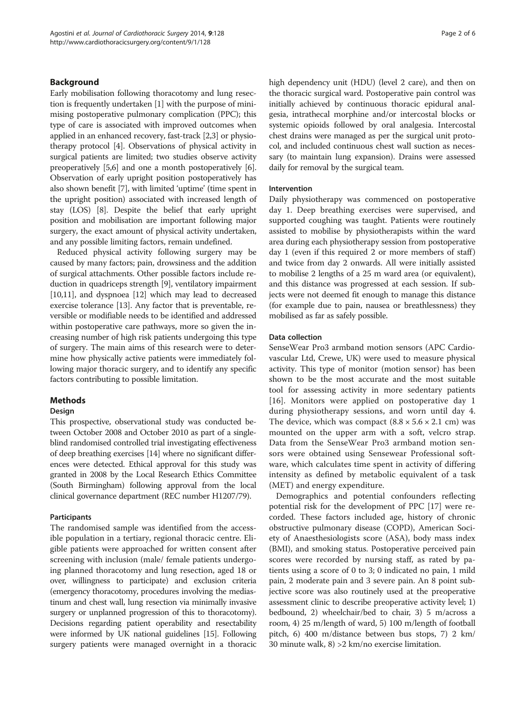#### Background

Early mobilisation following thoracotomy and lung resection is frequently undertaken [[1\]](#page-5-0) with the purpose of minimising postoperative pulmonary complication (PPC); this type of care is associated with improved outcomes when applied in an enhanced recovery, fast-track [[2,3](#page-5-0)] or physiotherapy protocol [\[4](#page-5-0)]. Observations of physical activity in surgical patients are limited; two studies observe activity preoperatively [[5,6](#page-5-0)] and one a month postoperatively [[6](#page-5-0)]. Observation of early upright position postoperatively has also shown benefit [[7](#page-5-0)], with limited 'uptime' (time spent in the upright position) associated with increased length of stay (LOS) [[8](#page-5-0)]. Despite the belief that early upright position and mobilisation are important following major surgery, the exact amount of physical activity undertaken, and any possible limiting factors, remain undefined.

Reduced physical activity following surgery may be caused by many factors; pain, drowsiness and the addition of surgical attachments. Other possible factors include reduction in quadriceps strength [[9](#page-5-0)], ventilatory impairment [[10,11](#page-5-0)], and dyspnoea [\[12\]](#page-5-0) which may lead to decreased exercise tolerance [[13](#page-5-0)]. Any factor that is preventable, reversible or modifiable needs to be identified and addressed within postoperative care pathways, more so given the increasing number of high risk patients undergoing this type of surgery. The main aims of this research were to determine how physically active patients were immediately following major thoracic surgery, and to identify any specific factors contributing to possible limitation.

#### **Methods**

#### Design

This prospective, observational study was conducted between October 2008 and October 2010 as part of a singleblind randomised controlled trial investigating effectiveness of deep breathing exercises [\[14](#page-5-0)] where no significant differences were detected. Ethical approval for this study was granted in 2008 by the Local Research Ethics Committee (South Birmingham) following approval from the local clinical governance department (REC number H1207/79).

#### Participants

The randomised sample was identified from the accessible population in a tertiary, regional thoracic centre. Eligible patients were approached for written consent after screening with inclusion (male/ female patients undergoing planned thoracotomy and lung resection, aged 18 or over, willingness to participate) and exclusion criteria (emergency thoracotomy, procedures involving the mediastinum and chest wall, lung resection via minimally invasive surgery or unplanned progression of this to thoracotomy). Decisions regarding patient operability and resectability were informed by UK national guidelines [\[15\]](#page-5-0). Following surgery patients were managed overnight in a thoracic high dependency unit (HDU) (level 2 care), and then on the thoracic surgical ward. Postoperative pain control was initially achieved by continuous thoracic epidural analgesia, intrathecal morphine and/or intercostal blocks or systemic opioids followed by oral analgesia. Intercostal chest drains were managed as per the surgical unit protocol, and included continuous chest wall suction as necessary (to maintain lung expansion). Drains were assessed daily for removal by the surgical team.

#### Intervention

Daily physiotherapy was commenced on postoperative day 1. Deep breathing exercises were supervised, and supported coughing was taught. Patients were routinely assisted to mobilise by physiotherapists within the ward area during each physiotherapy session from postoperative day 1 (even if this required 2 or more members of staff) and twice from day 2 onwards. All were initially assisted to mobilise 2 lengths of a 25 m ward area (or equivalent), and this distance was progressed at each session. If subjects were not deemed fit enough to manage this distance (for example due to pain, nausea or breathlessness) they mobilised as far as safely possible.

#### Data collection

SenseWear Pro3 armband motion sensors (APC Cardiovascular Ltd, Crewe, UK) were used to measure physical activity. This type of monitor (motion sensor) has been shown to be the most accurate and the most suitable tool for assessing activity in more sedentary patients [[16\]](#page-5-0). Monitors were applied on postoperative day 1 during physiotherapy sessions, and worn until day 4. The device, which was compact  $(8.8 \times 5.6 \times 2.1 \text{ cm})$  was mounted on the upper arm with a soft, velcro strap. Data from the SenseWear Pro3 armband motion sensors were obtained using Sensewear Professional software, which calculates time spent in activity of differing intensity as defined by metabolic equivalent of a task (MET) and energy expenditure.

Demographics and potential confounders reflecting potential risk for the development of PPC [\[17](#page-5-0)] were recorded. These factors included age, history of chronic obstructive pulmonary disease (COPD), American Society of Anaesthesiologists score (ASA), body mass index (BMI), and smoking status. Postoperative perceived pain scores were recorded by nursing staff, as rated by patients using a score of 0 to 3; 0 indicated no pain, 1 mild pain, 2 moderate pain and 3 severe pain. An 8 point subjective score was also routinely used at the preoperative assessment clinic to describe preoperative activity level; 1) bedbound, 2) wheelchair/bed to chair, 3) 5 m/across a room, 4) 25 m/length of ward, 5) 100 m/length of football pitch, 6) 400 m/distance between bus stops, 7) 2 km/ 30 minute walk, 8) >2 km/no exercise limitation.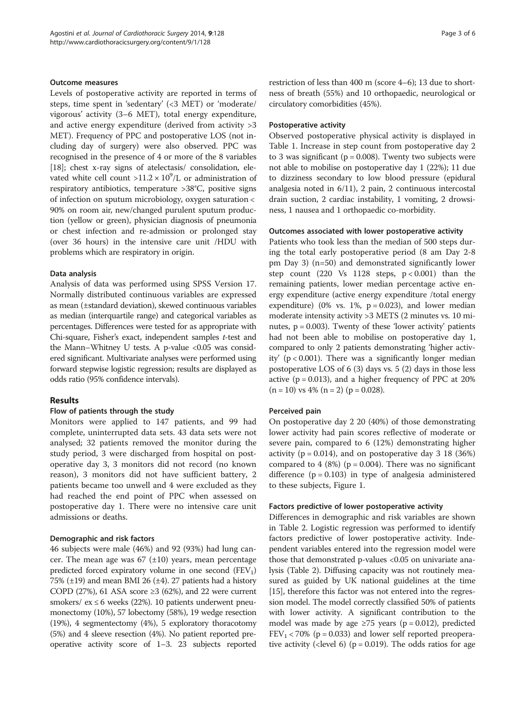#### Outcome measures

Levels of postoperative activity are reported in terms of steps, time spent in 'sedentary' (<3 MET) or 'moderate/ vigorous' activity (3–6 MET), total energy expenditure, and active energy expenditure (derived from activity >3 MET). Frequency of PPC and postoperative LOS (not including day of surgery) were also observed. PPC was recognised in the presence of 4 or more of the 8 variables [[18](#page-5-0)]; chest x-ray signs of atelectasis/ consolidation, elevated white cell count  $>11.2 \times 10^9$ /L or administration of respiratory antibiotics, temperature >38°C, positive signs of infection on sputum microbiology, oxygen saturation < 90% on room air, new/changed purulent sputum production (yellow or green), physician diagnosis of pneumonia or chest infection and re-admission or prolonged stay (over 36 hours) in the intensive care unit /HDU with problems which are respiratory in origin.

#### Data analysis

Analysis of data was performed using SPSS Version 17. Normally distributed continuous variables are expressed as mean (±standard deviation), skewed continuous variables as median (interquartile range) and categorical variables as percentages. Differences were tested for as appropriate with Chi-square, Fisher's exact, independent samples t-test and the Mann–Whitney U tests. A p-value  $< 0.05$  was considered significant. Multivariate analyses were performed using forward stepwise logistic regression; results are displayed as odds ratio (95% confidence intervals).

#### Results

#### Flow of patients through the study

Monitors were applied to 147 patients, and 99 had complete, uninterrupted data sets. 43 data sets were not analysed; 32 patients removed the monitor during the study period, 3 were discharged from hospital on postoperative day 3, 3 monitors did not record (no known reason), 3 monitors did not have sufficient battery, 2 patients became too unwell and 4 were excluded as they had reached the end point of PPC when assessed on postoperative day 1. There were no intensive care unit admissions or deaths.

#### Demographic and risk factors

46 subjects were male (46%) and 92 (93%) had lung cancer. The mean age was  $67$  ( $\pm 10$ ) years, mean percentage predicted forced expiratory volume in one second  $(FEV_1)$ 75% ( $\pm$ 19) and mean BMI 26 ( $\pm$ 4). 27 patients had a history COPD (27%), 61 ASA score  $\geq$ 3 (62%), and 22 were current smokers/  $ex \le 6$  weeks (22%). 10 patients underwent pneumonectomy (10%), 57 lobectomy (58%), 19 wedge resection (19%), 4 segmentectomy (4%), 5 exploratory thoracotomy (5%) and 4 sleeve resection (4%). No patient reported preoperative activity score of 1–3. 23 subjects reported restriction of less than 400 m (score 4–6); 13 due to shortness of breath (55%) and 10 orthopaedic, neurological or circulatory comorbidities (45%).

#### Postoperative activity

Observed postoperative physical activity is displayed in Table [1.](#page-3-0) Increase in step count from postoperative day 2 to 3 was significant ( $p = 0.008$ ). Twenty two subjects were not able to mobilise on postoperative day 1 (22%); 11 due to dizziness secondary to low blood pressure (epidural analgesia noted in 6/11), 2 pain, 2 continuous intercostal drain suction, 2 cardiac instability, 1 vomiting, 2 drowsiness, 1 nausea and 1 orthopaedic co-morbidity.

#### Outcomes associated with lower postoperative activity

Patients who took less than the median of 500 steps during the total early postoperative period (8 am Day 2-8 pm Day 3) (n=50) and demonstrated significantly lower step count  $(220 \text{ Vs } 1128 \text{ steps}, p < 0.001)$  than the remaining patients, lower median percentage active energy expenditure (active energy expenditure /total energy expenditure) (0% vs. 1%,  $p = 0.023$ ), and lower median moderate intensity activity >3 METS (2 minutes vs. 10 minutes,  $p = 0.003$ ). Twenty of these 'lower activity' patients had not been able to mobilise on postoperative day 1, compared to only 2 patients demonstrating 'higher activity' (p < 0.001). There was a significantly longer median postoperative LOS of 6 (3) days vs. 5 (2) days in those less active ( $p = 0.013$ ), and a higher frequency of PPC at 20%  $(n = 10)$  vs 4%  $(n = 2)$   $(p = 0.028)$ .

#### Perceived pain

On postoperative day 2 20 (40%) of those demonstrating lower activity had pain scores reflective of moderate or severe pain, compared to 6 (12%) demonstrating higher activity ( $p = 0.014$ ), and on postoperative day 3 18 (36%) compared to 4 (8%) ( $p = 0.004$ ). There was no significant difference  $(p = 0.103)$  in type of analgesia administered to these subjects, Figure [1](#page-3-0).

#### Factors predictive of lower postoperative activity

Differences in demographic and risk variables are shown in Table [2](#page-4-0). Logistic regression was performed to identify factors predictive of lower postoperative activity. Independent variables entered into the regression model were those that demonstrated p-values <0.05 on univariate analysis (Table [2](#page-4-0)). Diffusing capacity was not routinely measured as guided by UK national guidelines at the time [[15](#page-5-0)], therefore this factor was not entered into the regression model. The model correctly classified 50% of patients with lower activity. A significant contribution to the model was made by age  $\geq 75$  years (p = 0.012), predicted  $FEV<sub>1</sub> < 70%$  (p = 0.033) and lower self reported preoperative activity (<level 6) ( $p = 0.019$ ). The odds ratios for age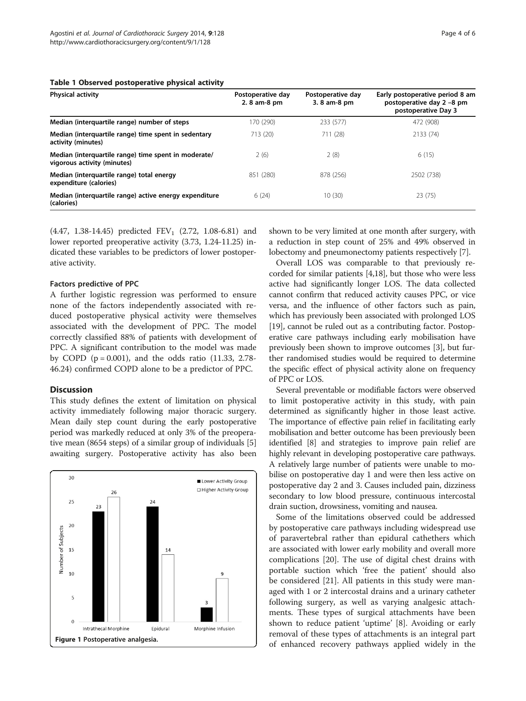#### <span id="page-3-0"></span>Table 1 Observed postoperative physical activity

| <b>Physical activity</b>                                                            | Postoperative day<br>2.8 am-8 pm | Postoperative day<br>3.8 am-8 pm | Early postoperative period 8 am<br>postoperative day 2 -8 pm<br>postoperative Day 3 |
|-------------------------------------------------------------------------------------|----------------------------------|----------------------------------|-------------------------------------------------------------------------------------|
| Median (interquartile range) number of steps                                        | 170 (290)                        | 233 (577)                        | 472 (908)                                                                           |
| Median (interguartile range) time spent in sedentary<br>activity (minutes)          | 713 (20)                         | 711 (28)                         | 2133 (74)                                                                           |
| Median (interquartile range) time spent in moderate/<br>vigorous activity (minutes) | 2(6)                             | 2(8)                             | 6(15)                                                                               |
| Median (interguartile range) total energy<br>expenditure (calories)                 | (280)<br>851                     | 878 (256)                        | 2502 (738)                                                                          |
| Median (interquartile range) active energy expenditure<br>(calories)                | 6(24)                            | 10(30)                           | 23(75)                                                                              |

 $(4.47, 1.38-14.45)$  predicted  $FEV<sub>1</sub>$   $(2.72, 1.08-6.81)$  and lower reported preoperative activity (3.73, 1.24-11.25) indicated these variables to be predictors of lower postoperative activity.

#### Factors predictive of PPC

A further logistic regression was performed to ensure none of the factors independently associated with reduced postoperative physical activity were themselves associated with the development of PPC. The model correctly classified 88% of patients with development of PPC. A significant contribution to the model was made by COPD ( $p = 0.001$ ), and the odds ratio (11.33, 2.78-46.24) confirmed COPD alone to be a predictor of PPC.

#### **Discussion**

This study defines the extent of limitation on physical activity immediately following major thoracic surgery. Mean daily step count during the early postoperative period was markedly reduced at only 3% of the preoperative mean (8654 steps) of a similar group of individuals [[5](#page-5-0)] awaiting surgery. Postoperative activity has also been



shown to be very limited at one month after surgery, with a reduction in step count of 25% and 49% observed in lobectomy and pneumonectomy patients respectively [\[7](#page-5-0)].

Overall LOS was comparable to that previously recorded for similar patients [\[4,18\]](#page-5-0), but those who were less active had significantly longer LOS. The data collected cannot confirm that reduced activity causes PPC, or vice versa, and the influence of other factors such as pain, which has previously been associated with prolonged LOS [[19](#page-5-0)], cannot be ruled out as a contributing factor. Postoperative care pathways including early mobilisation have previously been shown to improve outcomes [[3](#page-5-0)], but further randomised studies would be required to determine the specific effect of physical activity alone on frequency of PPC or LOS.

Several preventable or modifiable factors were observed to limit postoperative activity in this study, with pain determined as significantly higher in those least active. The importance of effective pain relief in facilitating early mobilisation and better outcome has been previously been identified [[8](#page-5-0)] and strategies to improve pain relief are highly relevant in developing postoperative care pathways. A relatively large number of patients were unable to mobilise on postoperative day 1 and were then less active on postoperative day 2 and 3. Causes included pain, dizziness secondary to low blood pressure, continuous intercostal drain suction, drowsiness, vomiting and nausea.

Some of the limitations observed could be addressed by postoperative care pathways including widespread use of paravertebral rather than epidural cathethers which are associated with lower early mobility and overall more complications [[20\]](#page-5-0). The use of digital chest drains with portable suction which 'free the patient' should also be considered [[21\]](#page-5-0). All patients in this study were managed with 1 or 2 intercostal drains and a urinary catheter following surgery, as well as varying analgesic attachments. These types of surgical attachments have been shown to reduce patient 'uptime' [\[8](#page-5-0)]. Avoiding or early removal of these types of attachments is an integral part of enhanced recovery pathways applied widely in the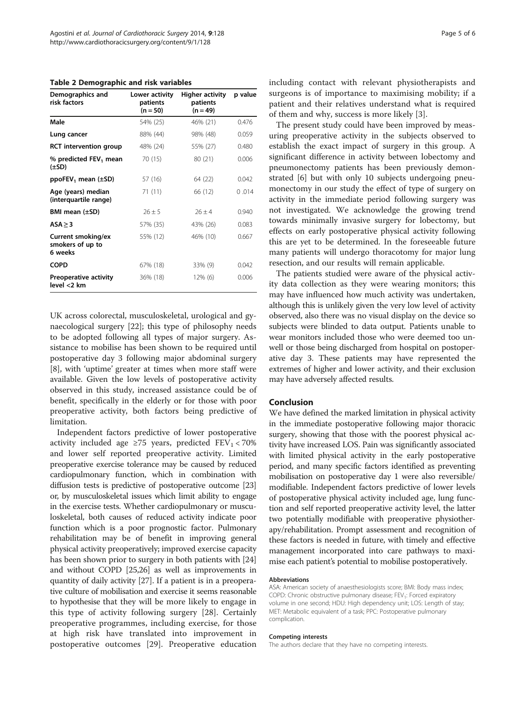<span id="page-4-0"></span>Table 2 Demographic and risk variables

| Demographics and<br>risk factors                  | Lower activity<br>patients<br>$(n = 50)$ | <b>Higher activity</b><br>patients<br>$(n = 49)$ | p value |
|---------------------------------------------------|------------------------------------------|--------------------------------------------------|---------|
| Male                                              | 54% (25)                                 | 46% (21)                                         | 0476    |
| Lung cancer                                       | 88% (44)                                 | 98% (48)                                         | 0.059   |
| <b>RCT</b> intervention group                     | 48% (24)                                 | 55% (27)                                         | 0.480   |
| % predicted $FEV_1$ mean<br>$(\pm SD)$            | 70 (15)                                  | 80 (21)                                          | 0.006   |
| $ppoFEV_1$ mean ( $\pm SD$ )                      | 57 (16)                                  | 64 (22)                                          | 0.042   |
| Age (years) median<br>(interquartile range)       | 71 (11)                                  | 66 (12)                                          | 0.014   |
| BMI mean (±SD)                                    | $76 + 5$                                 | $76 + 4$                                         | 0.940   |
| $ASA \geq 3$                                      | 57% (35)                                 | 43% (26)                                         | 0.083   |
| Current smoking/ex<br>smokers of up to<br>6 weeks | 55% (12)                                 | 46% (10)                                         | 0.667   |
| <b>COPD</b>                                       | 67% (18)                                 | 33% (9)                                          | 0.042   |
| <b>Preoperative activity</b><br>level <2 km       | 36% (18)                                 | 12% (6)                                          | 0.006   |

UK across colorectal, musculoskeletal, urological and gynaecological surgery [[22\]](#page-5-0); this type of philosophy needs to be adopted following all types of major surgery. Assistance to mobilise has been shown to be required until postoperative day 3 following major abdominal surgery [[8\]](#page-5-0), with 'uptime' greater at times when more staff were available. Given the low levels of postoperative activity observed in this study, increased assistance could be of benefit, specifically in the elderly or for those with poor preoperative activity, both factors being predictive of limitation.

Independent factors predictive of lower postoperative activity included age  $\geq 75$  years, predicted  $FEV_1 < 70\%$ and lower self reported preoperative activity. Limited preoperative exercise tolerance may be caused by reduced cardiopulmonary function, which in combination with diffusion tests is predictive of postoperative outcome [\[23](#page-5-0)] or, by musculoskeletal issues which limit ability to engage in the exercise tests. Whether cardiopulmonary or musculoskeletal, both causes of reduced activity indicate poor function which is a poor prognostic factor. Pulmonary rehabilitation may be of benefit in improving general physical activity preoperatively; improved exercise capacity has been shown prior to surgery in both patients with [[24](#page-5-0)] and without COPD [[25,26](#page-5-0)] as well as improvements in quantity of daily activity [[27](#page-5-0)]. If a patient is in a preoperative culture of mobilisation and exercise it seems reasonable to hypothesise that they will be more likely to engage in this type of activity following surgery [[28\]](#page-5-0). Certainly preoperative programmes, including exercise, for those at high risk have translated into improvement in postoperative outcomes [\[29](#page-5-0)]. Preoperative education including contact with relevant physiotherapists and surgeons is of importance to maximising mobility; if a patient and their relatives understand what is required of them and why, success is more likely [[3\]](#page-5-0).

The present study could have been improved by measuring preoperative activity in the subjects observed to establish the exact impact of surgery in this group. A significant difference in activity between lobectomy and pneumonectomy patients has been previously demonstrated [[6\]](#page-5-0) but with only 10 subjects undergoing pneumonectomy in our study the effect of type of surgery on activity in the immediate period following surgery was not investigated. We acknowledge the growing trend towards minimally invasive surgery for lobectomy, but effects on early postoperative physical activity following this are yet to be determined. In the foreseeable future many patients will undergo thoracotomy for major lung resection, and our results will remain applicable.

The patients studied were aware of the physical activity data collection as they were wearing monitors; this may have influenced how much activity was undertaken, although this is unlikely given the very low level of activity observed, also there was no visual display on the device so subjects were blinded to data output. Patients unable to wear monitors included those who were deemed too unwell or those being discharged from hospital on postoperative day 3. These patients may have represented the extremes of higher and lower activity, and their exclusion may have adversely affected results.

#### Conclusion

We have defined the marked limitation in physical activity in the immediate postoperative following major thoracic surgery, showing that those with the poorest physical activity have increased LOS. Pain was significantly associated with limited physical activity in the early postoperative period, and many specific factors identified as preventing mobilisation on postoperative day 1 were also reversible/ modifiable. Independent factors predictive of lower levels of postoperative physical activity included age, lung function and self reported preoperative activity level, the latter two potentially modifiable with preoperative physiotherapy/rehabilitation. Prompt assessment and recognition of these factors is needed in future, with timely and effective management incorporated into care pathways to maximise each patient's potential to mobilise postoperatively.

#### Abbreviations

ASA: American society of anaesthesiologists score; BMI: Body mass index; COPD: Chronic obstructive pulmonary disease; FEV<sub>1</sub>: Forced expiratory volume in one second; HDU: High dependency unit; LOS: Length of stay; MET: Metabolic equivalent of a task; PPC: Postoperative pulmonary complication.

#### Competing interests

The authors declare that they have no competing interests.